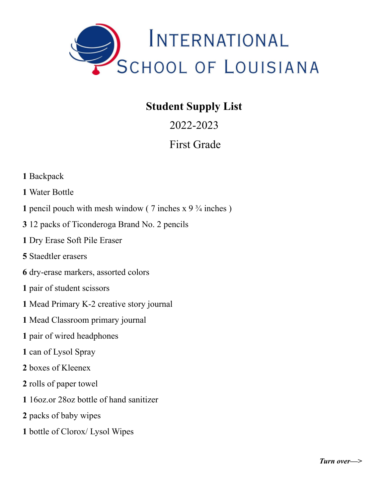

## **Student Supply List**

2022-2023

## First Grade

- Backpack
- Water Bottle
- **1** pencil pouch with mesh window ( $\frac{7}{7}$  inches x  $\frac{9\frac{3}{4}}{2}$  inches)
- 12 packs of Ticonderoga Brand No. 2 pencils
- Dry Erase Soft Pile Eraser
- Staedtler erasers
- dry-erase markers, assorted colors
- pair of student scissors
- Mead Primary K-2 creative story journal
- Mead Classroom primary journal
- pair of wired headphones
- can of Lysol Spray
- boxes of Kleenex
- rolls of paper towel
- 16oz.or 28oz bottle of hand sanitizer
- packs of baby wipes
- bottle of Clorox/ Lysol Wipes